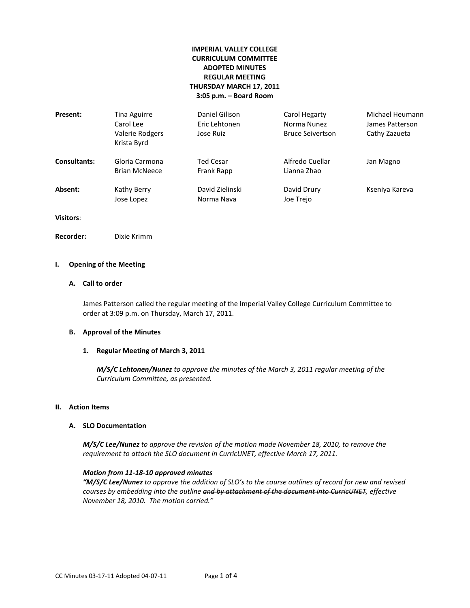# **IMPERIAL VALLEY COLLEGE CURRICULUM COMMITTEE ADOPTED MINUTES REGULAR MEETING THURSDAY MARCH 17, 2011 3:05 p.m. – Board Room**

| Present:            | Tina Aguirre<br>Carol Lee<br>Valerie Rodgers<br>Krista Byrd | Daniel Gilison<br>Eric Lehtonen<br>Jose Ruiz | Carol Hegarty<br>Norma Nunez<br><b>Bruce Seivertson</b> | Michael Heumann<br>James Patterson<br>Cathy Zazueta |
|---------------------|-------------------------------------------------------------|----------------------------------------------|---------------------------------------------------------|-----------------------------------------------------|
| <b>Consultants:</b> | Gloria Carmona<br><b>Brian McNeece</b>                      | Ted Cesar<br>Frank Rapp                      | Alfredo Cuellar<br>Lianna Zhao                          | Jan Magno                                           |
| Absent:             | Kathy Berry<br>Jose Lopez                                   | David Zielinski<br>Norma Nava                | David Drury<br>Joe Trejo                                | Kseniya Kareva                                      |

**Visitors**:

**Recorder:** Dixie Krimm

### **I. Opening of the Meeting**

# **A. Call to order**

James Patterson called the regular meeting of the Imperial Valley College Curriculum Committee to order at 3:09 p.m. on Thursday, March 17, 2011.

#### **B. Approval of the Minutes**

### **1. Regular Meeting of March 3, 2011**

*M/S/C Lehtonen/Nunez to approve the minutes of the March 3, 2011 regular meeting of the Curriculum Committee, as presented.* 

### **II. Action Items**

### **A. SLO Documentation**

*M/S/C Lee/Nunez to approve the revision of the motion made November 18, 2010, to remove the requirement to attach the SLO document in CurricUNET, effective March 17, 2011.* 

### *Motion from 11-18-10 approved minutes*

*"M/S/C Lee/Nunez to approve the addition of SLO's to the course outlines of record for new and revised courses by embedding into the outline and by attachment of the document into CurricUNET, effective November 18, 2010. The motion carried."*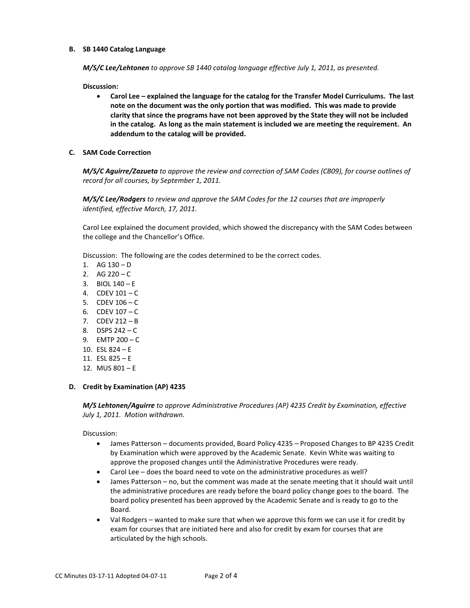### **B. SB 1440 Catalog Language**

*M/S/C Lee/Lehtonen to approve SB 1440 catalog language effective July 1, 2011, as presented.* 

**Discussion:** 

- **Carol Lee – explained the language for the catalog for the Transfer Model Curriculums. The last note on the document was the only portion that was modified. This was made to provide clarity that since the programs have not been approved by the State they will not be included in the catalog. As long as the main statement is included we are meeting the requirement. An addendum to the catalog will be provided.**
- **C. SAM Code Correction**

*M/S/C Aguirre/Zazueta to approve the review and correction of SAM Codes (CB09), for course outlines of record for all courses, by September 1, 2011.* 

*M/S/C Lee/Rodgers to review and approve the SAM Codes for the 12 courses that are improperly identified, effective March, 17, 2011.*

Carol Lee explained the document provided, which showed the discrepancy with the SAM Codes between the college and the Chancellor's Office.

Discussion: The following are the codes determined to be the correct codes.

- 1.  $AG 130 D$
- 2. AG  $220 C$
- 3. BIOL  $140 E$
- 4. CDEV  $101 C$
- 5. CDEV  $106 C$
- 6. CDEV 107 C
- 7. CDEV 212 B
- 8. DSPS 242 C
- 9. EMTP 200 C
- 10. ESL 824 E
- 11. ESL 825 E
- 12. MUS 801 E

### **D. Credit by Examination (AP) 4235**

*M/S Lehtonen/Aguirre to approve Administrative Procedures (AP) 4235 Credit by Examination, effective July 1, 2011. Motion withdrawn.*

Discussion:

- James Patterson documents provided, Board Policy 4235 Proposed Changes to BP 4235 Credit by Examination which were approved by the Academic Senate. Kevin White was waiting to approve the proposed changes until the Administrative Procedures were ready.
- Carol Lee does the board need to vote on the administrative procedures as well?
- James Patterson no, but the comment was made at the senate meeting that it should wait until the administrative procedures are ready before the board policy change goes to the board. The board policy presented has been approved by the Academic Senate and is ready to go to the Board.
- Val Rodgers wanted to make sure that when we approve this form we can use it for credit by exam for courses that are initiated here and also for credit by exam for courses that are articulated by the high schools.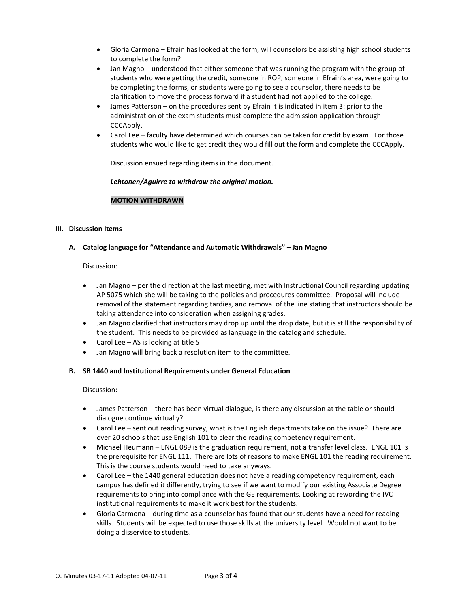- Gloria Carmona Efrain has looked at the form, will counselors be assisting high school students to complete the form?
- Jan Magno understood that either someone that was running the program with the group of students who were getting the credit, someone in ROP, someone in Efrain's area, were going to be completing the forms, or students were going to see a counselor, there needs to be clarification to move the process forward if a student had not applied to the college.
- James Patterson on the procedures sent by Efrain it is indicated in item 3: prior to the administration of the exam students must complete the admission application through CCCApply.
- Carol Lee faculty have determined which courses can be taken for credit by exam. For those students who would like to get credit they would fill out the form and complete the CCCApply.

Discussion ensued regarding items in the document.

### *Lehtonen/Aguirre to withdraw the original motion.*

# **MOTION WITHDRAWN**

### **III. Discussion Items**

## **A. Catalog language for "Attendance and Automatic Withdrawals" – Jan Magno**

# Discussion:

- Jan Magno per the direction at the last meeting, met with Instructional Council regarding updating AP 5075 which she will be taking to the policies and procedures committee. Proposal will include removal of the statement regarding tardies, and removal of the line stating that instructors should be taking attendance into consideration when assigning grades.
- Jan Magno clarified that instructors may drop up until the drop date, but it is still the responsibility of the student. This needs to be provided as language in the catalog and schedule.
- Carol Lee AS is looking at title 5
- Jan Magno will bring back a resolution item to the committee.

# **B. SB 1440 and Institutional Requirements under General Education**

### Discussion:

- James Patterson there has been virtual dialogue, is there any discussion at the table or should dialogue continue virtually?
- Carol Lee sent out reading survey, what is the English departments take on the issue? There are over 20 schools that use English 101 to clear the reading competency requirement.
- Michael Heumann ENGL 089 is the graduation requirement, not a transfer level class. ENGL 101 is the prerequisite for ENGL 111. There are lots of reasons to make ENGL 101 the reading requirement. This is the course students would need to take anyways.
- Carol Lee the 1440 general education does not have a reading competency requirement, each campus has defined it differently, trying to see if we want to modify our existing Associate Degree requirements to bring into compliance with the GE requirements. Looking at rewording the IVC institutional requirements to make it work best for the students.
- Gloria Carmona during time as a counselor has found that our students have a need for reading skills. Students will be expected to use those skills at the university level. Would not want to be doing a disservice to students.